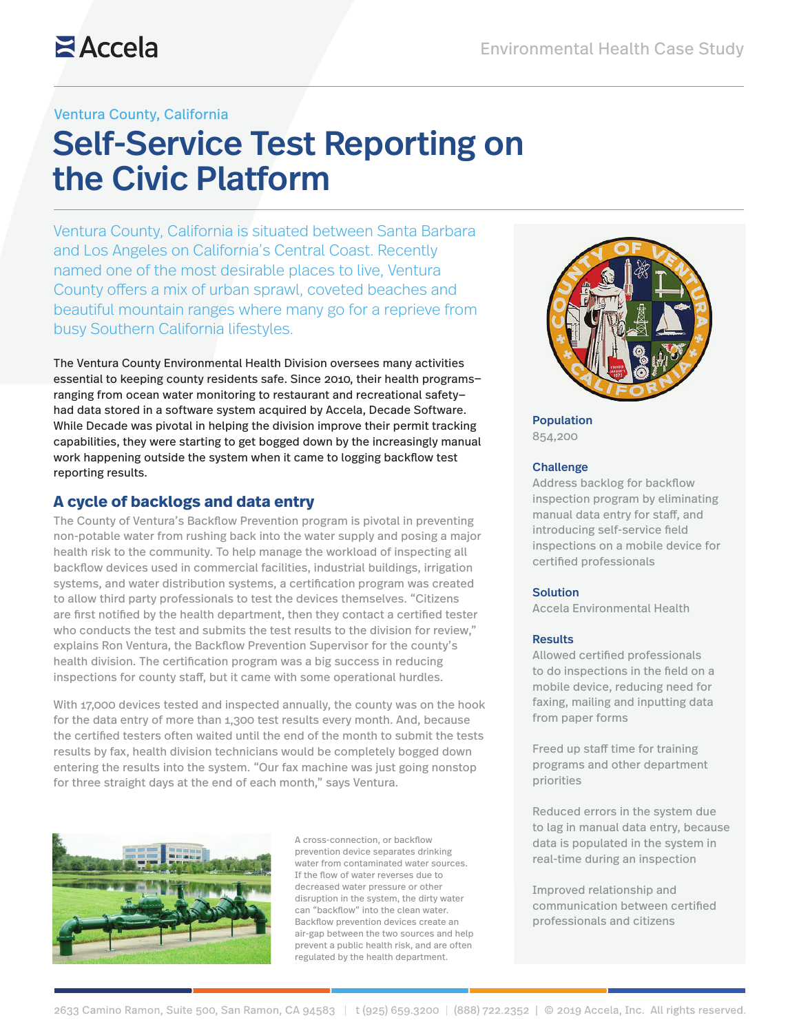## **Z**Accela

### Ventura County, California

# Self-Service Test Reporting on the Civic Platform

Ventura County, California is situated between Santa Barbara and Los Angeles on California's Central Coast. Recently named one of the most desirable places to live, Ventura County offers a mix of urban sprawl, coveted beaches and beautiful mountain ranges where many go for a reprieve from busy Southern California lifestyles.

The Ventura County Environmental Health Division oversees many activities essential to keeping county residents safe. Since 2010, their health programs ranging from ocean water monitoring to restaurant and recreational safety had data stored in a software system acquired by Accela, Decade Software. While Decade was pivotal in helping the division improve their permit tracking capabilities, they were starting to get bogged down by the increasingly manual work happening outside the system when it came to logging backflow test reporting results.

## **A cycle of backlogs and data entry**

The County of Ventura's Backflow Prevention program is pivotal in preventing non-potable water from rushing back into the water supply and posing a major health risk to the community. To help manage the workload of inspecting all backflow devices used in commercial facilities, industrial buildings, irrigation systems, and water distribution systems, a certification program was created to allow third party professionals to test the devices themselves. "Citizens are first notified by the health department, then they contact a certified tester who conducts the test and submits the test results to the division for review," explains Ron Ventura, the Backflow Prevention Supervisor for the county's health division. The certification program was a big success in reducing inspections for county staff, but it came with some operational hurdles.

With 17,000 devices tested and inspected annually, the county was on the hook for the data entry of more than 1,300 test results every month. And, because the certified testers often waited until the end of the month to submit the tests results by fax, health division technicians would be completely bogged down entering the results into the system. "Our fax machine was just going nonstop for three straight days at the end of each month," says Ventura.



A cross-connection, or backflow prevention device separates drinking water from contaminated water sources. If the flow of water reverses due to decreased water pressure or other disruption in the system, the dirty water can "backflow" into the clean water. Backflow prevention devices create an air-gap between the two sources and help prevent a public health risk, and are often regulated by the health department.



Population 854,200

#### **Challenge**

Address backlog for backflow inspection program by eliminating manual data entry for staff, and introducing self-service field inspections on a mobile device for certified professionals

#### Solution

Accela Environmental Health

#### **Results**

Allowed certified professionals to do inspections in the field on a mobile device, reducing need for faxing, mailing and inputting data from paper forms

Freed up staff time for training programs and other department priorities

Reduced errors in the system due to lag in manual data entry, because data is populated in the system in real-time during an inspection

Improved relationship and communication between certified professionals and citizens